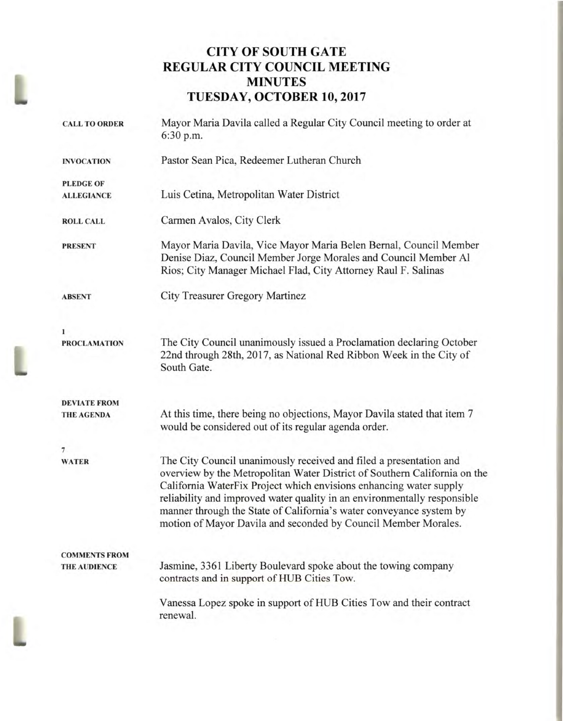# **CITY OF SOUTH GATE REGULAR CITY COUNCIL MEETING MINUTES TUESDAY, OCTOBER 10, 2017**

| <b>CALL TO ORDER</b> | Mayor Maria Davila called a Regular City Council meeting to order at<br>6:30 p.m.                                                                                                                                                                                                                                                                                                                                                          |
|----------------------|--------------------------------------------------------------------------------------------------------------------------------------------------------------------------------------------------------------------------------------------------------------------------------------------------------------------------------------------------------------------------------------------------------------------------------------------|
| <b>INVOCATION</b>    | Pastor Sean Pica, Redeemer Lutheran Church                                                                                                                                                                                                                                                                                                                                                                                                 |
| <b>PLEDGE OF</b>     |                                                                                                                                                                                                                                                                                                                                                                                                                                            |
| <b>ALLEGIANCE</b>    | Luis Cetina, Metropolitan Water District                                                                                                                                                                                                                                                                                                                                                                                                   |
| <b>ROLL CALL</b>     | Carmen Avalos, City Clerk                                                                                                                                                                                                                                                                                                                                                                                                                  |
| <b>PRESENT</b>       | Mayor Maria Davila, Vice Mayor Maria Belen Bernal, Council Member<br>Denise Diaz, Council Member Jorge Morales and Council Member Al<br>Rios; City Manager Michael Flad, City Attorney Raul F. Salinas                                                                                                                                                                                                                                     |
| <b>ABSENT</b>        | City Treasurer Gregory Martinez                                                                                                                                                                                                                                                                                                                                                                                                            |
| 1                    |                                                                                                                                                                                                                                                                                                                                                                                                                                            |
| <b>PROCLAMATION</b>  | The City Council unanimously issued a Proclamation declaring October<br>22nd through 28th, 2017, as National Red Ribbon Week in the City of<br>South Gate.                                                                                                                                                                                                                                                                                 |
| <b>DEVIATE FROM</b>  |                                                                                                                                                                                                                                                                                                                                                                                                                                            |
| <b>THE AGENDA</b>    | At this time, there being no objections, Mayor Davila stated that item 7<br>would be considered out of its regular agenda order.                                                                                                                                                                                                                                                                                                           |
| 7                    |                                                                                                                                                                                                                                                                                                                                                                                                                                            |
| <b>WATER</b>         | The City Council unanimously received and filed a presentation and<br>overview by the Metropolitan Water District of Southern California on the<br>California WaterFix Project which envisions enhancing water supply<br>reliability and improved water quality in an environmentally responsible<br>manner through the State of California's water conveyance system by<br>motion of Mayor Davila and seconded by Council Member Morales. |
| <b>COMMENTS FROM</b> |                                                                                                                                                                                                                                                                                                                                                                                                                                            |
| <b>THE AUDIENCE</b>  | Jasmine, 3361 Liberty Boulevard spoke about the towing company<br>contracts and in support of HUB Cities Tow.                                                                                                                                                                                                                                                                                                                              |
|                      | Vanessa Lopez spoke in support of HUB Cities Tow and their contract<br>renewal.                                                                                                                                                                                                                                                                                                                                                            |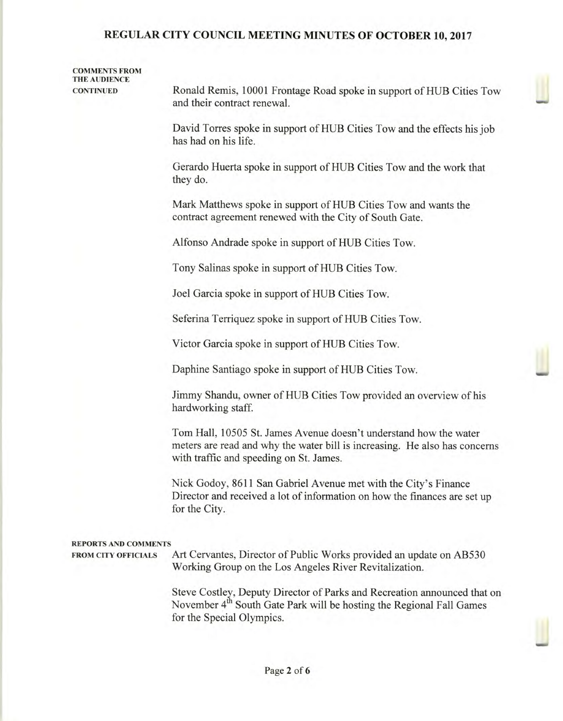## COMMENTS FROM THE AUDIENCE

CONTINUED Ronald Remis, 10001 Frontage Road spoke in support of HUB Cities Tow and their contract renewal.

> David Torres spoke in support of HUB Cities Tow and the effects his job has had on his life.

Gerardo Huerta spoke in support of HUB Cities Tow and the work that they do.

Mark Matthews spoke in support of HUB Cities Tow and wants the contract agreement renewed with the City of South Gate.

Alfonso Andrade spoke in support of HUB Cities Tow.

Tony Salinas spoke in support of HUB Cities Tow.

Joel Garcia spoke in support of HUB Cities Tow.

Seferina Terriquez spoke in support of HUB Cities Tow.

Victor Garcia spoke in support of HUB Cities Tow.

Daphine Santiago spoke in support of HUB Cities Tow.

Jimmy Shandu, owner of HUB Cities Tow provided an overview of his hardworking staff.

Tom Hall, 10505 St. James Avenue doesn't understand how the water meters are read and why the water bill is increasing. He also has concerns with traffic and speeding on St. James.

Nick Godoy, 8611 San Gabriel Avenue met with the City's Finance Director and received a lot of information on how the finances are set up for the City.

### REPORTS AND COMMENTS

FROM CITY OFFICIALS Art Cervantes, Director of Public Works provided an update on AB530 Working Group on the Los Angeles River Revitalization.

> Steve Costley, Deputy Director of Parks and Recreation announced that on November 4<sup>th</sup> South Gate Park will be hosting the Regional Fall Games for the Special Olympics.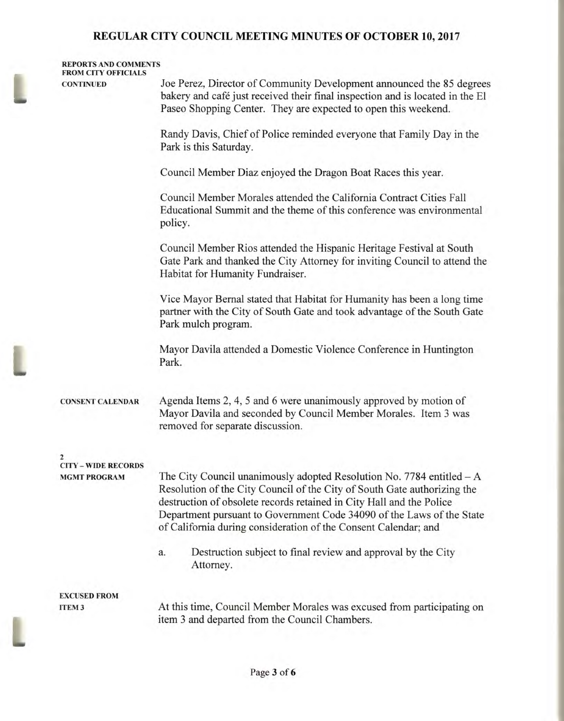| <b>CONTINUED</b>                                      | Joe Perez, Director of Community Development announced the 85 degrees                                                                                                                                                                                                                                                                                                  |
|-------------------------------------------------------|------------------------------------------------------------------------------------------------------------------------------------------------------------------------------------------------------------------------------------------------------------------------------------------------------------------------------------------------------------------------|
|                                                       | bakery and café just received their final inspection and is located in the El<br>Paseo Shopping Center. They are expected to open this weekend.                                                                                                                                                                                                                        |
|                                                       | Randy Davis, Chief of Police reminded everyone that Family Day in the<br>Park is this Saturday.                                                                                                                                                                                                                                                                        |
|                                                       | Council Member Diaz enjoyed the Dragon Boat Races this year.                                                                                                                                                                                                                                                                                                           |
|                                                       | Council Member Morales attended the California Contract Cities Fall<br>Educational Summit and the theme of this conference was environmental<br>policy.                                                                                                                                                                                                                |
|                                                       | Council Member Rios attended the Hispanic Heritage Festival at South<br>Gate Park and thanked the City Attorney for inviting Council to attend the<br>Habitat for Humanity Fundraiser.                                                                                                                                                                                 |
|                                                       | Vice Mayor Bernal stated that Habitat for Humanity has been a long time<br>partner with the City of South Gate and took advantage of the South Gate<br>Park mulch program.                                                                                                                                                                                             |
|                                                       | Mayor Davila attended a Domestic Violence Conference in Huntington<br>Park.                                                                                                                                                                                                                                                                                            |
| <b>CONSENT CALENDAR</b>                               | Agenda Items 2, 4, 5 and 6 were unanimously approved by motion of<br>Mayor Davila and seconded by Council Member Morales. Item 3 was<br>removed for separate discussion.                                                                                                                                                                                               |
| $\overline{\mathbf{2}}$<br><b>CITY - WIDE RECORDS</b> |                                                                                                                                                                                                                                                                                                                                                                        |
| <b>MGMT PROGRAM</b>                                   | The City Council unanimously adopted Resolution No. 7784 entitled $-A$<br>Resolution of the City Council of the City of South Gate authorizing the<br>destruction of obsolete records retained in City Hall and the Police<br>Department pursuant to Government Code 34090 of the Laws of the State<br>of California during consideration of the Consent Calendar; and |
|                                                       | Destruction subject to final review and approval by the City<br>a.<br>Attorney.                                                                                                                                                                                                                                                                                        |
| <b>EXCUSED FROM</b>                                   |                                                                                                                                                                                                                                                                                                                                                                        |
| <b>ITEM3</b>                                          | At this time, Council Member Morales was excused from participating on<br>item 3 and departed from the Council Chambers.                                                                                                                                                                                                                                               |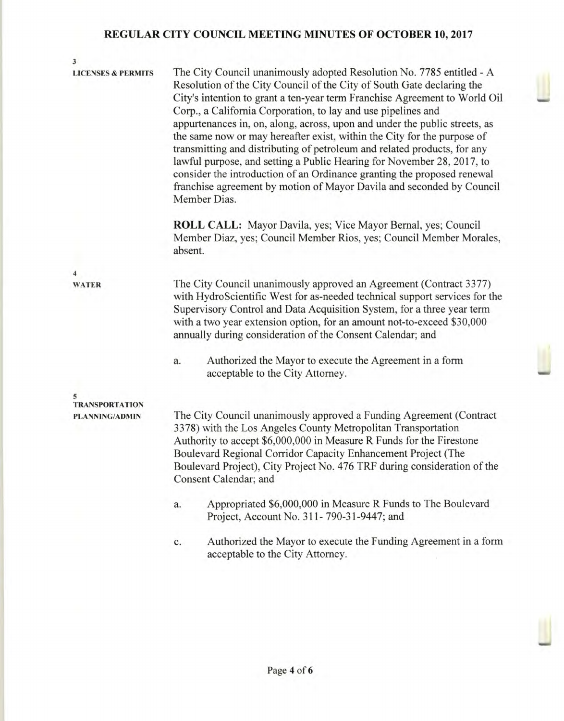3 LICENSES & PERMITS The City Council unanimously adopted Resolution No. 7785 entitled - A Resolution of the City Council of the City of South Gate declaring the City's intention to grant a ten-year term Franchise Agreement to World Oil Corp., a California Corporation, to lay and use pipelines and appurtenances in, on, along, across, upon and under the public streets, as the same now or may hereafter exist, within the City for the purpose of transmitting and distributing of petroleum and related products, for any lawful purpose, and setting a Public Hearing for November 28, 2017, to consider the introduction of an Ordinance granting the proposed renewal franchise agreement by motion of Mayor Davila and seconded by Council Member Dias. **ROLL CALL:** Mayor Davila, yes; Vice Mayor Bernal, yes; Council Member Diaz, yes; Council Member Rios, yes; Council Member Morales, absent. 4 WATER The City Council unanimously approved an Agreement (Contract 3377) with HydroScientific West for as-needed technical support services for the Supervisory Control and Data Acquisition System, for a three year term with a two year extension option, for an amount not-to-exceed \$30,000 annually during consideration of the Consent Calendar; and a. Authorized the Mayor to execute the Agreement in a form acceptable to the City Attorney. 5 TRANSPORTATION PLANNING/ADMIN The City Council unanimously approved a Funding Agreement (Contract 3378) with the Los Angeles County Metropolitan Transportation Authority to accept \$6,000,000 in Measure R Funds for the Firestone Boulevard Regional Corridor Capacity Enhancement Project (The Boulevard Project), City Project No. 476 TRF during consideration of the Consent Calendar; and a. Appropriated \$6,000,000 in Measure R Funds to The Boulevard Project, Account No. 311- 790-31-9447; and c. Authorized the Mayor to execute the Funding Agreement in a form

Page **4** of **6** 

acceptable to the City Attorney.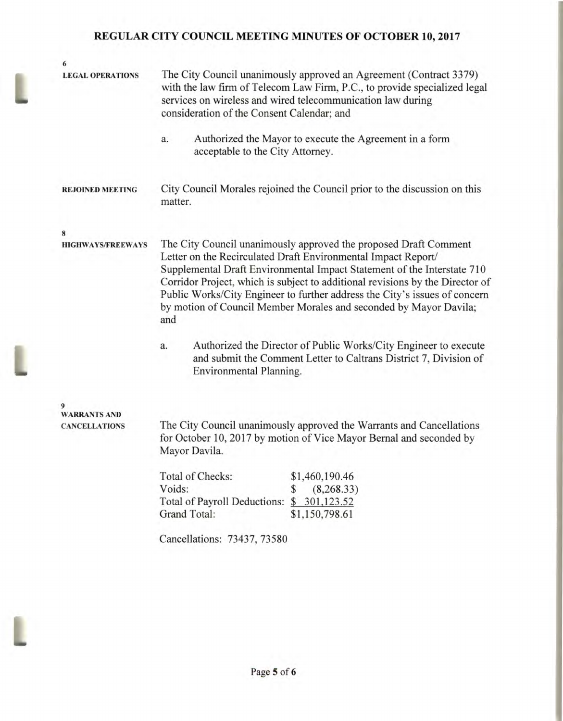L

| 6                                           |                                                                                                                                                                                                                                                                                                                                                                                                                                                         |
|---------------------------------------------|---------------------------------------------------------------------------------------------------------------------------------------------------------------------------------------------------------------------------------------------------------------------------------------------------------------------------------------------------------------------------------------------------------------------------------------------------------|
| <b>LEGAL OPERATIONS</b>                     | The City Council unanimously approved an Agreement (Contract 3379)<br>with the law firm of Telecom Law Firm, P.C., to provide specialized legal<br>services on wireless and wired telecommunication law during<br>consideration of the Consent Calendar; and                                                                                                                                                                                            |
|                                             | Authorized the Mayor to execute the Agreement in a form<br>a.<br>acceptable to the City Attorney.                                                                                                                                                                                                                                                                                                                                                       |
| <b>REJOINED MEETING</b>                     | City Council Morales rejoined the Council prior to the discussion on this<br>matter.                                                                                                                                                                                                                                                                                                                                                                    |
| 8                                           |                                                                                                                                                                                                                                                                                                                                                                                                                                                         |
| <b>HIGHWAYS/FREEWAYS</b>                    | The City Council unanimously approved the proposed Draft Comment<br>Letter on the Recirculated Draft Environmental Impact Report/<br>Supplemental Draft Environmental Impact Statement of the Interstate 710<br>Corridor Project, which is subject to additional revisions by the Director of<br>Public Works/City Engineer to further address the City's issues of concern<br>by motion of Council Member Morales and seconded by Mayor Davila;<br>and |
|                                             | Authorized the Director of Public Works/City Engineer to execute<br>a.<br>and submit the Comment Letter to Caltrans District 7, Division of<br>Environmental Planning.                                                                                                                                                                                                                                                                                  |
|                                             |                                                                                                                                                                                                                                                                                                                                                                                                                                                         |
| <b>WARRANTS AND</b><br><b>CANCELLATIONS</b> | The City Council unanimously approved the Warrants and Cancellations<br>for October 10, 2017 by motion of Vice Mayor Bernal and seconded by<br>Mayor Davila.                                                                                                                                                                                                                                                                                            |
|                                             | Total of Checks:<br>\$1,460,190.46                                                                                                                                                                                                                                                                                                                                                                                                                      |
|                                             | Voids:<br>(8,268.33)<br>S                                                                                                                                                                                                                                                                                                                                                                                                                               |
|                                             | Total of Payroll Deductions:<br>\$ 301,123.52                                                                                                                                                                                                                                                                                                                                                                                                           |
|                                             | Grand Total:<br>\$1,150,798.61                                                                                                                                                                                                                                                                                                                                                                                                                          |
|                                             | Cancellations: 73437, 73580                                                                                                                                                                                                                                                                                                                                                                                                                             |
|                                             |                                                                                                                                                                                                                                                                                                                                                                                                                                                         |